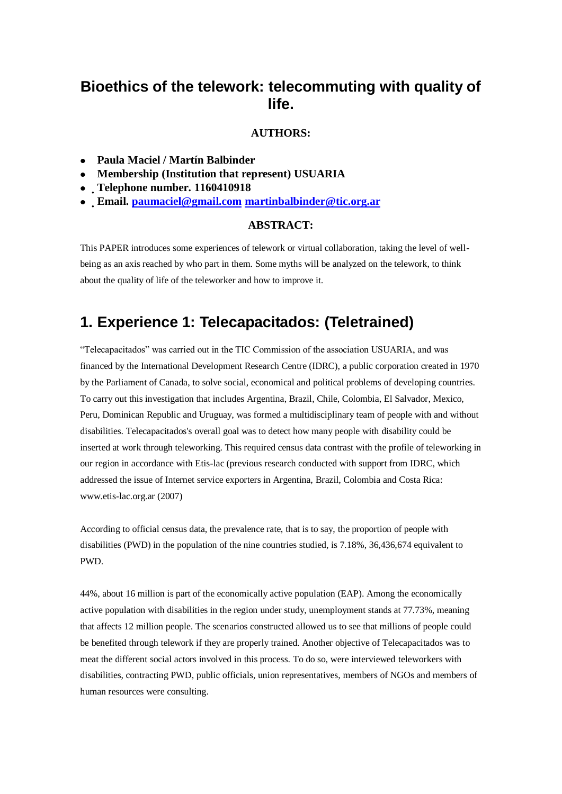### **Bioethics of the telework: telecommuting with quality of life.**

#### **AUTHORS:**

- **Paula Maciel / Martín Balbinder**
- **Membership (Institution that represent) USUARIA**
- **Telephone number. 1160410918**
- **Email. [paumaciel@gmail.com](mailto:paumaciel@gmail.com) [martinbalbinder@tic.org.ar](mailto:martinbalbinder@tic.org.ar)**

#### **ABSTRACT:**

This PAPER introduces some experiences of telework or virtual collaboration, taking the level of wellbeing as an axis reached by who part in them. Some myths will be analyzed on the telework, to think about the quality of life of the teleworker and how to improve it.

## **1. Experience 1: Telecapacitados: (Teletrained)**

"Telecapacitados" was carried out in the TIC Commission of the association USUARIA, and was financed by the International Development Research Centre (IDRC), a public corporation created in 1970 by the Parliament of Canada, to solve social, economical and political problems of developing countries. To carry out this investigation that includes Argentina, Brazil, Chile, Colombia, El Salvador, Mexico, Peru, Dominican Republic and Uruguay, was formed a multidisciplinary team of people with and without disabilities. Telecapacitados's overall goal was to detect how many people with disability could be inserted at work through teleworking. This required census data contrast with the profile of teleworking in our region in accordance with Etis-lac (previous research conducted with support from IDRC, which addressed the issue of Internet service exporters in Argentina, Brazil, Colombia and Costa Rica: www.etis-lac.org.ar (2007)

According to official census data, the prevalence rate, that is to say, the proportion of people with disabilities (PWD) in the population of the nine countries studied, is 7.18%, 36,436,674 equivalent to PWD.

44%, about 16 million is part of the economically active population (EAP). Among the economically active population with disabilities in the region under study, unemployment stands at 77.73%, meaning that affects 12 million people. The scenarios constructed allowed us to see that millions of people could be benefited through telework if they are properly trained. Another objective of Telecapacitados was to meat the different social actors involved in this process. To do so, were interviewed teleworkers with disabilities, contracting PWD, public officials, union representatives, members of NGOs and members of human resources were consulting.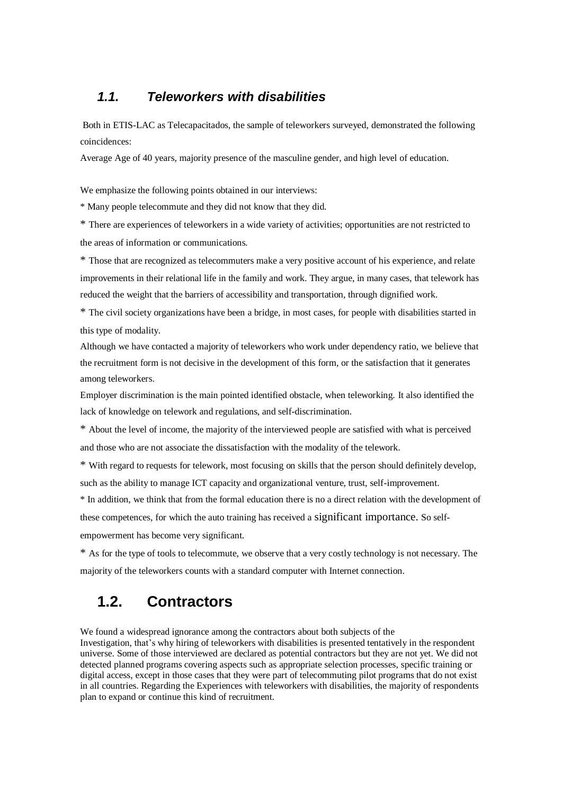#### *1.1. Teleworkers with disabilities*

Both in ETIS-LAC as Telecapacitados, the sample of teleworkers surveyed, demonstrated the following coincidences:

Average Age of 40 years, majority presence of the masculine gender, and high level of education.

We emphasize the following points obtained in our interviews:

\* Many people telecommute and they did not know that they did.

\* There are experiences of teleworkers in a wide variety of activities; opportunities are not restricted to the areas of information or communications.

\* Those that are recognized as telecommuters make a very positive account of his experience, and relate improvements in their relational life in the family and work. They argue, in many cases, that telework has reduced the weight that the barriers of accessibility and transportation, through dignified work.

\* The civil society organizations have been a bridge, in most cases, for people with disabilities started in this type of modality.

Although we have contacted a majority of teleworkers who work under dependency ratio, we believe that the recruitment form is not decisive in the development of this form, or the satisfaction that it generates among teleworkers.

Employer discrimination is the main pointed identified obstacle, when teleworking. It also identified the lack of knowledge on telework and regulations, and self-discrimination.

\* About the level of income, the majority of the interviewed people are satisfied with what is perceived and those who are not associate the dissatisfaction with the modality of the telework.

\* With regard to requests for telework, most focusing on skills that the person should definitely develop, such as the ability to manage ICT capacity and organizational venture, trust, self-improvement.

\* In addition, we think that from the formal education there is no a direct relation with the development of these competences, for which the auto training has received a significant importance. So self-

empowerment has become very significant.

\* As for the type of tools to telecommute, we observe that a very costly technology is not necessary. The majority of the teleworkers counts with a standard computer with Internet connection.

#### **1.2. Contractors**

We found a widespread ignorance among the contractors about both subjects of the Investigation, that's why hiring of teleworkers with disabilities is presented tentatively in the respondent universe. Some of those interviewed are declared as potential contractors but they are not yet. We did not detected planned programs covering aspects such as appropriate selection processes, specific training or digital access, except in those cases that they were part of telecommuting pilot programs that do not exist in all countries. Regarding the Experiences with teleworkers with disabilities, the majority of respondents plan to expand or continue this kind of recruitment.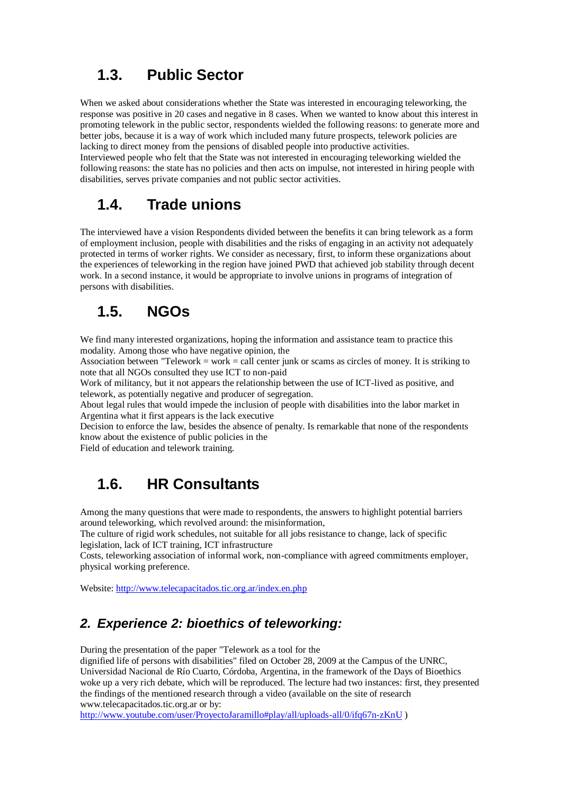# **1.3. Public Sector**

When we asked about considerations whether the State was interested in encouraging teleworking, the response was positive in 20 cases and negative in 8 cases. When we wanted to know about this interest in promoting telework in the public sector, respondents wielded the following reasons: to generate more and better jobs, because it is a way of work which included many future prospects, telework policies are lacking to direct money from the pensions of disabled people into productive activities. Interviewed people who felt that the State was not interested in encouraging teleworking wielded the following reasons: the state has no policies and then acts on impulse, not interested in hiring people with

## **1.4. Trade unions**

disabilities, serves private companies and not public sector activities.

The interviewed have a vision Respondents divided between the benefits it can bring telework as a form of employment inclusion, people with disabilities and the risks of engaging in an activity not adequately protected in terms of worker rights. We consider as necessary, first, to inform these organizations about the experiences of teleworking in the region have joined PWD that achieved job stability through decent work. In a second instance, it would be appropriate to involve unions in programs of integration of persons with disabilities.

# **1.5. NGOs**

We find many interested organizations, hoping the information and assistance team to practice this modality. Among those who have negative opinion, the

Association between "Telework = work = call center junk or scams as circles of money. It is striking to note that all NGOs consulted they use ICT to non-paid

Work of militancy, but it not appears the relationship between the use of ICT-lived as positive, and telework, as potentially negative and producer of segregation.

About legal rules that would impede the inclusion of people with disabilities into the labor market in Argentina what it first appears is the lack executive

Decision to enforce the law, besides the absence of penalty. Is remarkable that none of the respondents know about the existence of public policies in the

Field of education and telework training.

## **1.6. HR Consultants**

Among the many questions that were made to respondents, the answers to highlight potential barriers around teleworking, which revolved around: the misinformation,

The culture of rigid work schedules, not suitable for all jobs resistance to change, lack of specific legislation, lack of ICT training, ICT infrastructure

Costs, teleworking association of informal work, non-compliance with agreed commitments employer, physical working preference.

Website:<http://www.telecapacitados.tic.org.ar/index.en.php>

#### *2. Experience 2: bioethics of teleworking:*

During the presentation of the paper "Telework as a tool for the

dignified life of persons with disabilities" filed on October 28, 2009 at the Campus of the UNRC, Universidad Nacional de Río Cuarto, Córdoba, Argentina, in the framework of the Days of Bioethics woke up a very rich debate, which will be reproduced. The lecture had two instances: first, they presented the findings of the mentioned research through a video (available on the site of research www.telecapacitados.tic.org.ar or by:

<http://www.youtube.com/user/ProyectoJaramillo#play/all/uploads-all/0/ifq67n-zKnU> )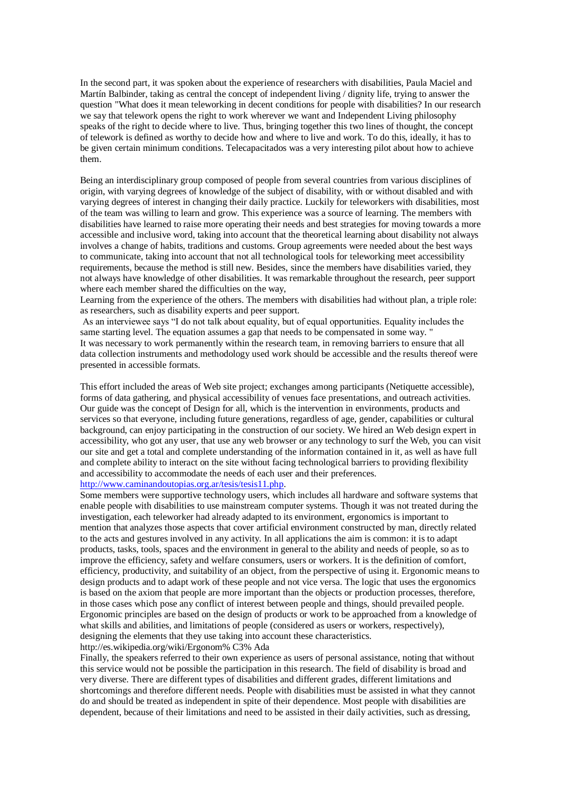In the second part, it was spoken about the experience of researchers with disabilities, Paula Maciel and Martín Balbinder, taking as central the concept of independent living / dignity life, trying to answer the question "What does it mean teleworking in decent conditions for people with disabilities? In our research we say that telework opens the right to work wherever we want and Independent Living philosophy speaks of the right to decide where to live. Thus, bringing together this two lines of thought, the concept of telework is defined as worthy to decide how and where to live and work. To do this, ideally, it has to be given certain minimum conditions. Telecapacitados was a very interesting pilot about how to achieve them.

Being an interdisciplinary group composed of people from several countries from various disciplines of origin, with varying degrees of knowledge of the subject of disability, with or without disabled and with varying degrees of interest in changing their daily practice. Luckily for teleworkers with disabilities, most of the team was willing to learn and grow. This experience was a source of learning. The members with disabilities have learned to raise more operating their needs and best strategies for moving towards a more accessible and inclusive word, taking into account that the theoretical learning about disability not always involves a change of habits, traditions and customs. Group agreements were needed about the best ways to communicate, taking into account that not all technological tools for teleworking meet accessibility requirements, because the method is still new. Besides, since the members have disabilities varied, they not always have knowledge of other disabilities. It was remarkable throughout the research, peer support where each member shared the difficulties on the way,

Learning from the experience of the others. The members with disabilities had without plan, a triple role: as researchers, such as disability experts and peer support.

As an interviewee says "I do not talk about equality, but of equal opportunities. Equality includes the same starting level. The equation assumes a gap that needs to be compensated in some way. " It was necessary to work permanently within the research team, in removing barriers to ensure that all data collection instruments and methodology used work should be accessible and the results thereof were presented in accessible formats.

This effort included the areas of Web site project; exchanges among participants (Netiquette accessible), forms of data gathering, and physical accessibility of venues face presentations, and outreach activities. Our guide was the concept of Design for all, which is the intervention in environments, products and services so that everyone, including future generations, regardless of age, gender, capabilities or cultural background, can enjoy participating in the construction of our society. We hired an Web design expert in accessibility, who got any user, that use any web browser or any technology to surf the Web, you can visit our site and get a total and complete understanding of the information contained in it, as well as have full and complete ability to interact on the site without facing technological barriers to providing flexibility and accessibility to accommodate the needs of each user and their preferences.

[http://www.caminandoutopias.org.ar/tesis/tesis11.php.](http://www.caminandoutopias.org.ar/tesis/tesis11.php)

Some members were supportive technology users, which includes all hardware and software systems that enable people with disabilities to use mainstream computer systems. Though it was not treated during the investigation, each teleworker had already adapted to its environment, ergonomics is important to mention that analyzes those aspects that cover artificial environment constructed by man, directly related to the acts and gestures involved in any activity. In all applications the aim is common: it is to adapt products, tasks, tools, spaces and the environment in general to the ability and needs of people, so as to improve the efficiency, safety and welfare consumers, users or workers. It is the definition of comfort, efficiency, productivity, and suitability of an object, from the perspective of using it. Ergonomic means to design products and to adapt work of these people and not vice versa. The logic that uses the ergonomics is based on the axiom that people are more important than the objects or production processes, therefore, in those cases which pose any conflict of interest between people and things, should prevailed people. Ergonomic principles are based on the design of products or work to be approached from a knowledge of what skills and abilities, and limitations of people (considered as users or workers, respectively), designing the elements that they use taking into account these characteristics.

http://es.wikipedia.org/wiki/Ergonom% C3% Ada

Finally, the speakers referred to their own experience as users of personal assistance, noting that without this service would not be possible the participation in this research. The field of disability is broad and very diverse. There are different types of disabilities and different grades, different limitations and shortcomings and therefore different needs. People with disabilities must be assisted in what they cannot do and should be treated as independent in spite of their dependence. Most people with disabilities are dependent, because of their limitations and need to be assisted in their daily activities, such as dressing,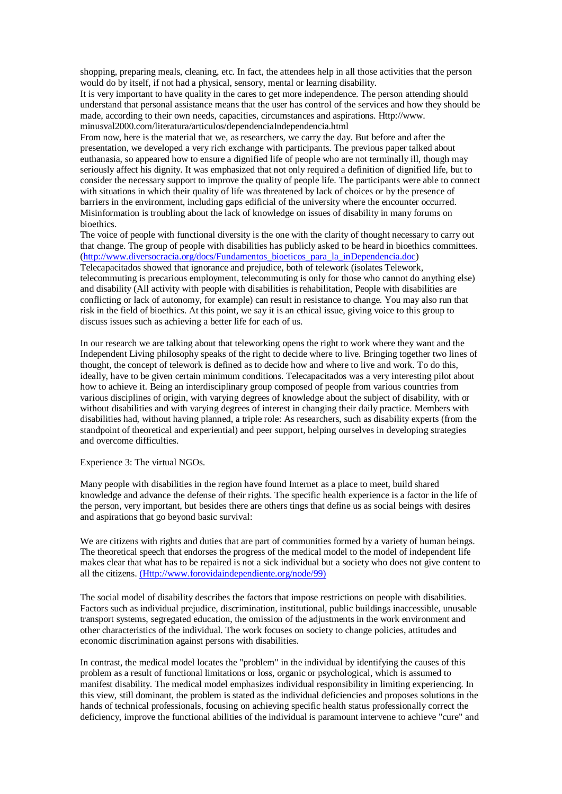shopping, preparing meals, cleaning, etc. In fact, the attendees help in all those activities that the person would do by itself, if not had a physical, sensory, mental or learning disability.

It is very important to have quality in the cares to get more independence. The person attending should understand that personal assistance means that the user has control of the services and how they should be made, according to their own needs, capacities, circumstances and aspirations. Http://www. minusval2000.com/literatura/articulos/dependenciaIndependencia.html

From now, here is the material that we, as researchers, we carry the day. But before and after the presentation, we developed a very rich exchange with participants. The previous paper talked about euthanasia, so appeared how to ensure a dignified life of people who are not terminally ill, though may seriously affect his dignity. It was emphasized that not only required a definition of dignified life, but to consider the necessary support to improve the quality of people life. The participants were able to connect with situations in which their quality of life was threatened by lack of choices or by the presence of barriers in the environment, including gaps edificial of the university where the encounter occurred. Misinformation is troubling about the lack of knowledge on issues of disability in many forums on bioethics.

The voice of people with functional diversity is the one with the clarity of thought necessary to carry out that change. The group of people with disabilities has publicly asked to be heard in bioethics committees. [\(http://www.diversocracia.org/docs/Fundamentos\\_bioeticos\\_para\\_la\\_inDependencia.doc\)](http://www.diversocracia.org/docs/Fundamentos_bioeticos_para_la_inDependencia.doc) Telecapacitados showed that ignorance and prejudice, both of telework (isolates Telework, telecommuting is precarious employment, telecommuting is only for those who cannot do anything else) and disability (All activity with people with disabilities is rehabilitation, People with disabilities are conflicting or lack of autonomy, for example) can result in resistance to change. You may also run that risk in the field of bioethics. At this point, we say it is an ethical issue, giving voice to this group to discuss issues such as achieving a better life for each of us.

In our research we are talking about that teleworking opens the right to work where they want and the Independent Living philosophy speaks of the right to decide where to live. Bringing together two lines of thought, the concept of telework is defined as to decide how and where to live and work. To do this, ideally, have to be given certain minimum conditions. Telecapacitados was a very interesting pilot about how to achieve it. Being an interdisciplinary group composed of people from various countries from various disciplines of origin, with varying degrees of knowledge about the subject of disability, with or without disabilities and with varying degrees of interest in changing their daily practice. Members with disabilities had, without having planned, a triple role: As researchers, such as disability experts (from the standpoint of theoretical and experiential) and peer support, helping ourselves in developing strategies and overcome difficulties.

Experience 3: The virtual NGOs.

Many people with disabilities in the region have found Internet as a place to meet, build shared knowledge and advance the defense of their rights. The specific health experience is a factor in the life of the person, very important, but besides there are others tings that define us as social beings with desires and aspirations that go beyond basic survival:

We are citizens with rights and duties that are part of communities formed by a variety of human beings. The theoretical speech that endorses the progress of the medical model to the model of independent life makes clear that what has to be repaired is not a sick individual but a society who does not give content to all the citizens. [\(Http://www.forovidaindependiente.org/node/99\)](http://translate.google.com/translate?hl=es&sl=es&tl=en&prev=_t&u=http://www.forovidaindependiente.org/node/99)

The social model of disability describes the factors that impose restrictions on people with disabilities. Factors such as individual prejudice, discrimination, institutional, public buildings inaccessible, unusable transport systems, segregated education, the omission of the adjustments in the work environment and other characteristics of the individual. The work focuses on society to change policies, attitudes and economic discrimination against persons with disabilities.

In contrast, the medical model locates the "problem" in the individual by identifying the causes of this problem as a result of functional limitations or loss, organic or psychological, which is assumed to manifest disability. The medical model emphasizes individual responsibility in limiting experiencing. In this view, still dominant, the problem is stated as the individual deficiencies and proposes solutions in the hands of technical professionals, focusing on achieving specific health status professionally correct the deficiency, improve the functional abilities of the individual is paramount intervene to achieve "cure" and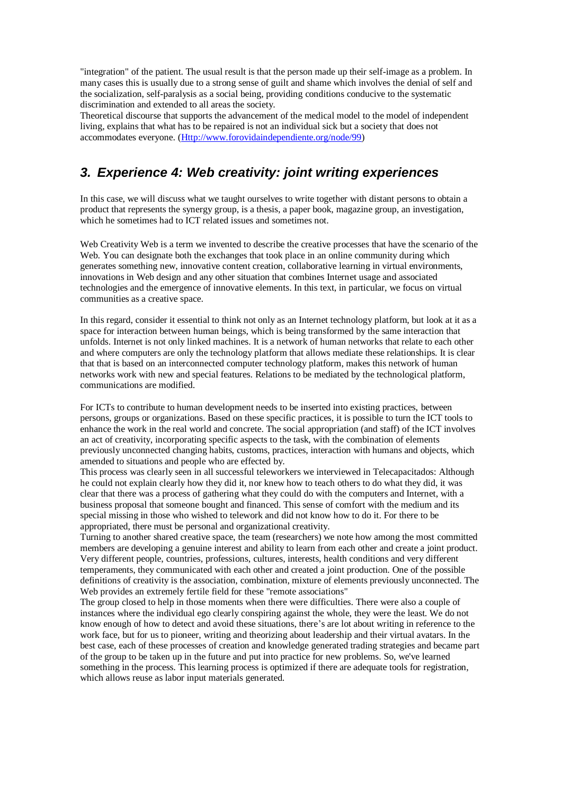"integration" of the patient. The usual result is that the person made up their self-image as a problem. In many cases this is usually due to a strong sense of guilt and shame which involves the denial of self and the socialization, self-paralysis as a social being, providing conditions conducive to the systematic discrimination and extended to all areas the society.

Theoretical discourse that supports the advancement of the medical model to the model of independent living, explains that what has to be repaired is not an individual sick but a society that does not accommodates everyone. [\(Http://www.forovidaindependiente.org/node/99\)](http://www.forovidaindependiente.org/node/99)

#### *3. Experience 4: Web creativity: joint writing experiences*

In this case, we will discuss what we taught ourselves to write together with distant persons to obtain a product that represents the synergy group, is a thesis, a paper book, magazine group, an investigation, which he sometimes had to ICT related issues and sometimes not.

Web Creativity Web is a term we invented to describe the creative processes that have the scenario of the Web. You can designate both the exchanges that took place in an online community during which generates something new, innovative content creation, collaborative learning in virtual environments, innovations in Web design and any other situation that combines Internet usage and associated technologies and the emergence of innovative elements. In this text, in particular, we focus on virtual communities as a creative space.

In this regard, consider it essential to think not only as an Internet technology platform, but look at it as a space for interaction between human beings, which is being transformed by the same interaction that unfolds. Internet is not only linked machines. It is a network of human networks that relate to each other and where computers are only the technology platform that allows mediate these relationships. It is clear that that is based on an interconnected computer technology platform, makes this network of human networks work with new and special features. Relations to be mediated by the technological platform, communications are modified.

For ICTs to contribute to human development needs to be inserted into existing practices, between persons, groups or organizations. Based on these specific practices, it is possible to turn the ICT tools to enhance the work in the real world and concrete. The social appropriation (and staff) of the ICT involves an act of creativity, incorporating specific aspects to the task, with the combination of elements previously unconnected changing habits, customs, practices, interaction with humans and objects, which amended to situations and people who are effected by.

This process was clearly seen in all successful teleworkers we interviewed in Telecapacitados: Although he could not explain clearly how they did it, nor knew how to teach others to do what they did, it was clear that there was a process of gathering what they could do with the computers and Internet, with a business proposal that someone bought and financed. This sense of comfort with the medium and its special missing in those who wished to telework and did not know how to do it. For there to be appropriated, there must be personal and organizational creativity.

Turning to another shared creative space, the team (researchers) we note how among the most committed members are developing a genuine interest and ability to learn from each other and create a joint product. Very different people, countries, professions, cultures, interests, health conditions and very different temperaments, they communicated with each other and created a joint production. One of the possible definitions of creativity is the association, combination, mixture of elements previously unconnected. The Web provides an extremely fertile field for these "remote associations"

The group closed to help in those moments when there were difficulties. There were also a couple of instances where the individual ego clearly conspiring against the whole, they were the least. We do not know enough of how to detect and avoid these situations, there's are lot about writing in reference to the work face, but for us to pioneer, writing and theorizing about leadership and their virtual avatars. In the best case, each of these processes of creation and knowledge generated trading strategies and became part of the group to be taken up in the future and put into practice for new problems. So, we've learned something in the process. This learning process is optimized if there are adequate tools for registration, which allows reuse as labor input materials generated.